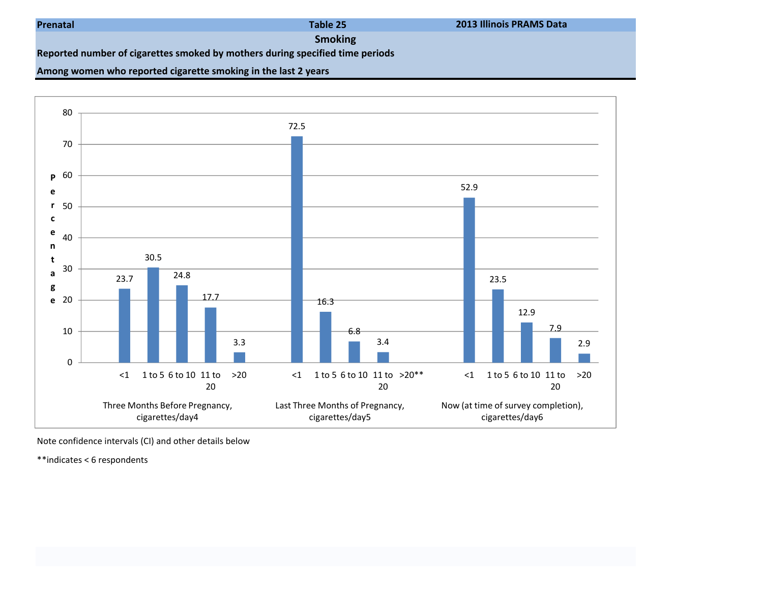| Prenatal |  |
|----------|--|
|----------|--|

Table 25

2013 Illinois PRAMS Data

Smoking

Reported number of cigarettes smoked by mothers during specified time periods

## Among women who reported cigarette smoking in the last 2 years



Note confidence intervals (CI) and other details below

\*\*indicates < 6 respondents